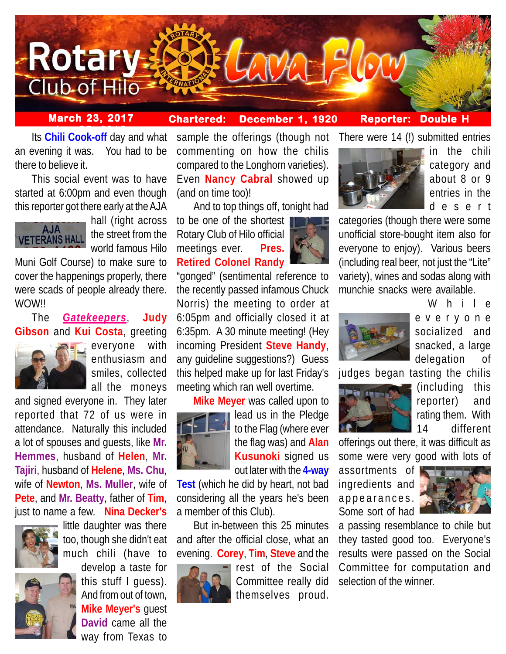

## **March 23, 2017 Chartered: December 1, 1920**

# **Reporter: Double H**

**Its Chili Cook-off** day and what an evening it was. You had to be there to believe it.

This social event was to have started at 6:00pm and even though this reporter got there early at the AJA



hall (right across the street from the world famous Hilo

Muni Golf Course) to make sure to cover the happenings properly, there were scads of people already there. WOW!!

The *Gatekeepers*, **Judy Gibson** and **Kui Costa**, greeting



everyone with enthusiasm and smiles, collected all the moneys

and signed everyone in. They later reported that 72 of us were in attendance. Naturally this included a lot of spouses and guests, like **Mr. Hemmes**, husband of **Helen**, **Mr. Tajiri**, husband of **Helene**, **Ms. Chu**, wife of **Newton**, **Ms. Muller**, wife of **Pete**, and **Mr. Beatty**, father of **Tim**, just to name a few. **Nina Decker's**



little daughter was there too, though she didn't eat much chili (have to develop a taste for



this stuff I guess). And from out of town, **Mike Meyer's** guest **David** came all the way from Texas to

sample the offerings (though not commenting on how the chilis compared to the Longhorn varieties). Even **Nancy Cabral** showed up (and on time too)!

And to top things off, tonight had

to be one of the shortest Rotary Club of Hilo official meetings ever. **Pres. Retired Colonel Randy**

"gonged" (sentimental reference to the recently passed infamous Chuck Norris) the meeting to order at 6:05pm and officially closed it at 6:35pm. A 30 minute meeting! (Hey incoming President **Steve Handy**, any guideline suggestions?) Guess this helped make up for last Friday's meeting which ran well overtime.

**Mike Meyer** was called upon to



lead us in the Pledge to the Flag (where ever the flag was) and **Alan Kusunoki** signed us out later with the **4-way**

**Test** (which he did by heart, not bad considering all the years he's been a member of this Club).

But in-between this 25 minutes and after the official close, what an evening. **Corey**, **Tim**, **Steve** and the



rest of the Social Committee really did themselves proud.



There were 14 (!) submitted entries



in the chili category and about 8 or 9 entries in the desert

categories (though there were some unofficial store-bought item also for everyone to enjoy). Various beers (including real beer, not just the "Lite" variety), wines and sodas along with munchie snacks were available.



While everyone socialized and snacked, a large delegation of

judges began tasting the chilis



(including this reporter) and rating them. With 14 different

offerings out there, it was difficult as some were very good with lots of

assortments of ingredients and appearances. Some sort of had



a passing resemblance to chile but they tasted good too. Everyone's results were passed on the Social Committee for computation and selection of the winner.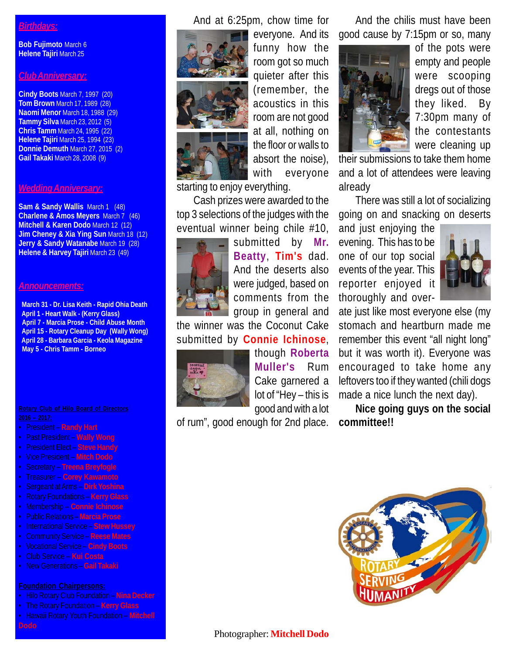#### *Birthdays:*

**Bob Fujimoto** March 6 **Helene Tajiri** March 25

## *Club Anniversary:*

**Cindy Boots** March 7, 1997 (20) **Tom Brown** March 17, 1989 (28) **Naomi Menor** March 18, 1988 (29) **Tammy Silva** March 23, 2012 (5) **Chris Tamm** March 24, 1995 (22) **Helene Tajiri** March 25, 1994 (23) **Donnie Demuth** March 27, 2015 (2) **Gail Takaki** March 28, 2008 (9)

### *Wedding Anniversary:*

**Sam & Sandy Wallis** March 1 (48) **Charlene & Amos Meyers** March 7 (46) **Mitchell & Karen Dodo** March 12 (12) **Jim Cheney & Xia Ying Sun** March 18 (12) **Jerry & Sandy Watanabe** March 19 (28) **Helene & Harvey Tajiri** March 23 (49)

#### *Announcements:*

 **March 31 - Dr. Lisa Keith - Rapid Ohia Death April 1 - Heart Walk - (Kerry Glass) April 7 - Marcia Prose - Child Abuse Month April 15 - Rotary Cleanup Day (Wally Wong) April 28 - Barbara Garcia - Keola Magazine May 5 - Chris Tamm - Borneo**

- President **Randy Hart**
- Past President **Wally Wong**
- President Elect **Steve Handy**
- Vice President **Mitch Dodo**
- Secretary **Treena Breyfogle**
- Treasurer **Corey Kawamoto**
- 
- 
- 
- Public Relations **Marcia Prose**
- International Service **Stew Hussey**
- Community Service **Reese Mates**
- Vocational Service **Cindy Boots**
- Club Service **Kui Costa**
- New Generations **Gail Takaki**

- Hilo Rotary Club Foundation **Nina Decker**
- The Rotary Foundation **Kerry Glass**
- Hawaii Rotary Youth Foundation **Mitchell**

And at 6:25pm, chow time for

everyone. And its funny how the room got so much quieter after this (remember, the acoustics in this room are not good at all, nothing on the floor or walls to absort the noise), with everyone







starting to enjoy everything.

Cash prizes were awarded to the top 3 selections of the judges with the eventual winner being chile #10,



submitted by **Mr. Beatty**, **Tim's** dad. And the deserts also were judged, based on comments from the group in general and

the winner was the Coconut Cake submitted by **Connie Ichinose**,



though **Roberta Muller's** Rum Cake garnered a lot of "Hey – this is good and with a lot

of rum", good enough for 2nd place.

And the chilis must have been good cause by 7:15pm or so, many



of the pots were empty and people were scooping dregs out of those they liked. By 7:30pm many of the contestants were cleaning up

their submissions to take them home and a lot of attendees were leaving already

There was still a lot of socializing going on and snacking on deserts

and just enjoying the evening. This has to be one of our top social events of the year. This reporter enjoyed it thoroughly and over-



ate just like most everyone else (my stomach and heartburn made me remember this event "all night long" but it was worth it). Everyone was encouraged to take home any leftovers too if they wanted (chili dogs made a nice lunch the next day).

**Nice going guys on the social committee!!**



## Photographer: **Mitchell Dodo**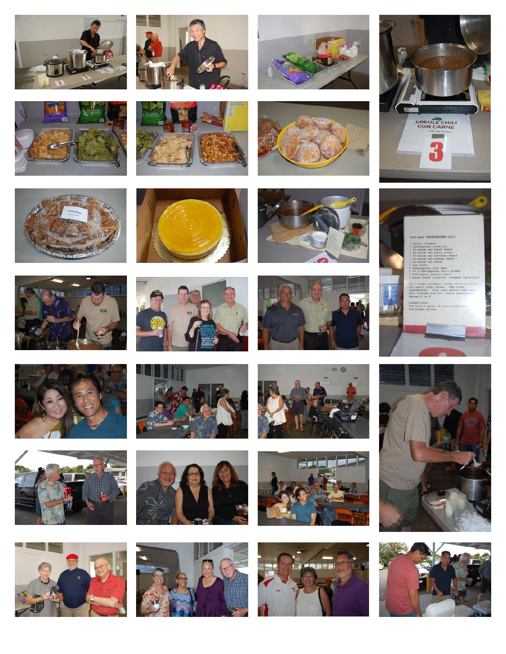